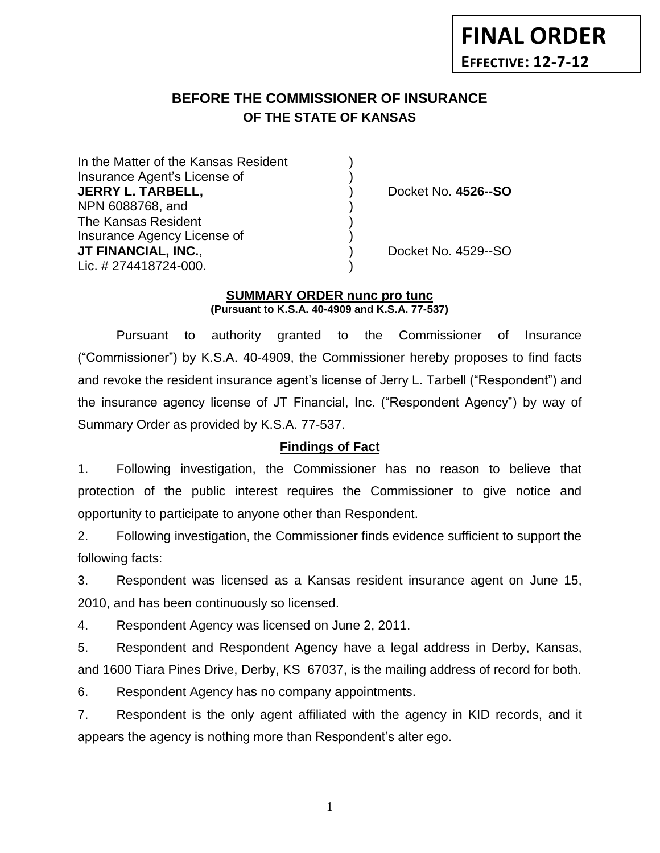# **BEFORE THE COMMISSIONER OF INSURANCE** *-12***OF THE STATE OF KANSAS**

In the Matter of the Kansas Resident Insurance Agent's License of ) **JERRY L. TARBELL,** ) Docket No. **4526--SO** NPN 6088768, and ) The Kansas Resident ) Insurance Agency License of ) **JT FINANCIAL, INC.**, ) Docket No. 4529--SO Lic. # 274418724-000.

## **SUMMARY ORDER nunc pro tunc (Pursuant to K.S.A. 40-4909 and K.S.A. 77-537)**

Pursuant to authority granted to the Commissioner of Insurance ("Commissioner") by K.S.A. 40-4909, the Commissioner hereby proposes to find facts and revoke the resident insurance agent's license of Jerry L. Tarbell ("Respondent") and the insurance agency license of JT Financial, Inc. ("Respondent Agency") by way of Summary Order as provided by K.S.A. 77-537.

# **Findings of Fact**

1. Following investigation, the Commissioner has no reason to believe that protection of the public interest requires the Commissioner to give notice and opportunity to participate to anyone other than Respondent.

2. Following investigation, the Commissioner finds evidence sufficient to support the following facts:

3. Respondent was licensed as a Kansas resident insurance agent on June 15, 2010, and has been continuously so licensed.

4. Respondent Agency was licensed on June 2, 2011.

5. Respondent and Respondent Agency have a legal address in Derby, Kansas, and 1600 Tiara Pines Drive, Derby, KS 67037, is the mailing address of record for both.

6. Respondent Agency has no company appointments.

7. Respondent is the only agent affiliated with the agency in KID records, and it appears the agency is nothing more than Respondent's alter ego.

1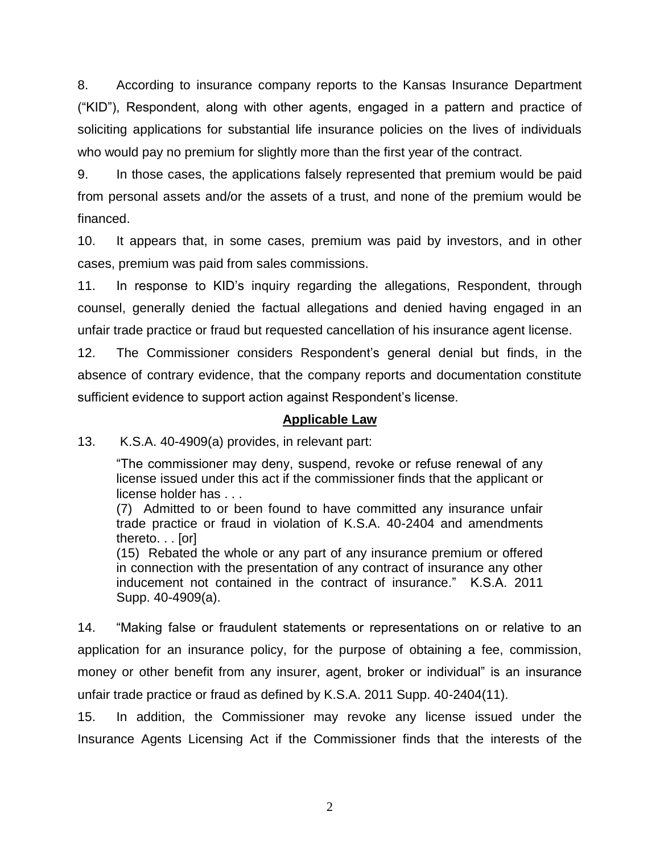8. According to insurance company reports to the Kansas Insurance Department ("KID"), Respondent, along with other agents, engaged in a pattern and practice of soliciting applications for substantial life insurance policies on the lives of individuals who would pay no premium for slightly more than the first year of the contract.

9. In those cases, the applications falsely represented that premium would be paid from personal assets and/or the assets of a trust, and none of the premium would be financed.

10. It appears that, in some cases, premium was paid by investors, and in other cases, premium was paid from sales commissions.

11. In response to KID's inquiry regarding the allegations, Respondent, through counsel, generally denied the factual allegations and denied having engaged in an unfair trade practice or fraud but requested cancellation of his insurance agent license.

12. The Commissioner considers Respondent's general denial but finds, in the absence of contrary evidence, that the company reports and documentation constitute sufficient evidence to support action against Respondent's license.

## **Applicable Law**

13. K.S.A. 40-4909(a) provides, in relevant part:

"The commissioner may deny, suspend, revoke or refuse renewal of any license issued under this act if the commissioner finds that the applicant or license holder has . . .

(7) Admitted to or been found to have committed any insurance unfair trade practice or fraud in violation of K.S.A. 40-2404 and amendments thereto. . . [or]

(15) Rebated the whole or any part of any insurance premium or offered in connection with the presentation of any contract of insurance any other inducement not contained in the contract of insurance." K.S.A. 2011 Supp. 40-4909(a).

14. "Making false or fraudulent statements or representations on or relative to an application for an insurance policy, for the purpose of obtaining a fee, commission, money or other benefit from any insurer, agent, broker or individual" is an insurance unfair trade practice or fraud as defined by K.S.A. 2011 Supp. 40-2404(11).

15. In addition, the Commissioner may revoke any license issued under the Insurance Agents Licensing Act if the Commissioner finds that the interests of the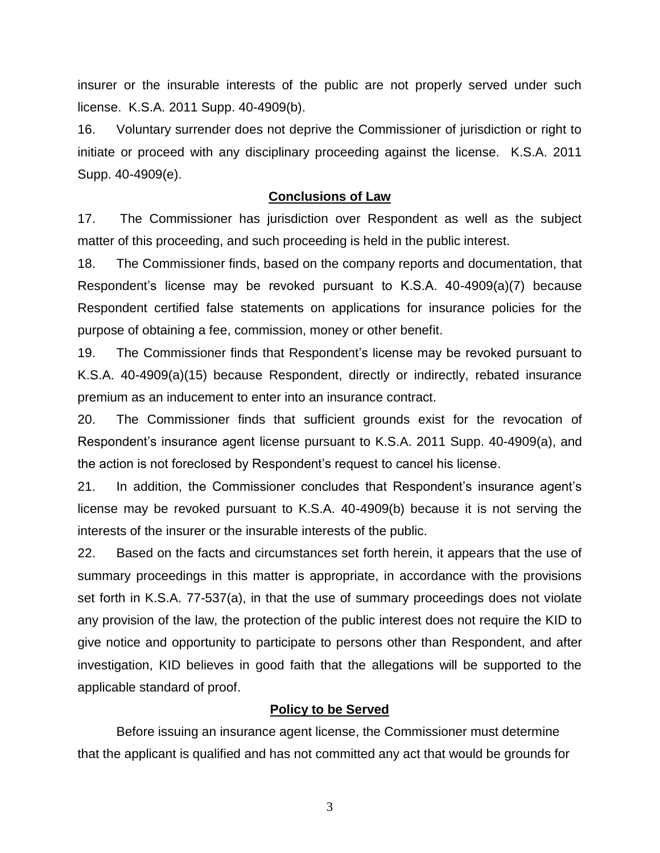insurer or the insurable interests of the public are not properly served under such license. K.S.A. 2011 Supp. 40-4909(b).

16. Voluntary surrender does not deprive the Commissioner of jurisdiction or right to initiate or proceed with any disciplinary proceeding against the license. K.S.A. 2011 Supp. 40-4909(e).

#### **Conclusions of Law**

17. The Commissioner has jurisdiction over Respondent as well as the subject matter of this proceeding, and such proceeding is held in the public interest.

18. The Commissioner finds, based on the company reports and documentation, that Respondent's license may be revoked pursuant to K.S.A. 40-4909(a)(7) because Respondent certified false statements on applications for insurance policies for the purpose of obtaining a fee, commission, money or other benefit.

19. The Commissioner finds that Respondent's license may be revoked pursuant to K.S.A. 40-4909(a)(15) because Respondent, directly or indirectly, rebated insurance premium as an inducement to enter into an insurance contract.

20. The Commissioner finds that sufficient grounds exist for the revocation of Respondent's insurance agent license pursuant to K.S.A. 2011 Supp. 40-4909(a), and the action is not foreclosed by Respondent's request to cancel his license.

21. In addition, the Commissioner concludes that Respondent's insurance agent's license may be revoked pursuant to K.S.A. 40-4909(b) because it is not serving the interests of the insurer or the insurable interests of the public.

22. Based on the facts and circumstances set forth herein, it appears that the use of summary proceedings in this matter is appropriate, in accordance with the provisions set forth in K.S.A. 77-537(a), in that the use of summary proceedings does not violate any provision of the law, the protection of the public interest does not require the KID to give notice and opportunity to participate to persons other than Respondent, and after investigation, KID believes in good faith that the allegations will be supported to the applicable standard of proof.

## **Policy to be Served**

Before issuing an insurance agent license, the Commissioner must determine that the applicant is qualified and has not committed any act that would be grounds for

3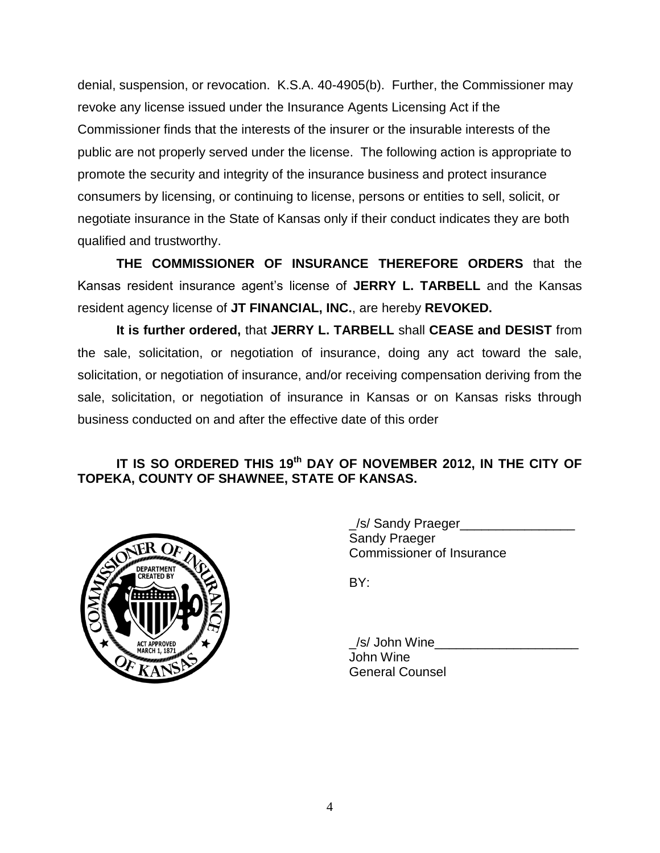denial, suspension, or revocation. K.S.A. 40-4905(b). Further, the Commissioner may revoke any license issued under the Insurance Agents Licensing Act if the Commissioner finds that the interests of the insurer or the insurable interests of the public are not properly served under the license. The following action is appropriate to promote the security and integrity of the insurance business and protect insurance consumers by licensing, or continuing to license, persons or entities to sell, solicit, or negotiate insurance in the State of Kansas only if their conduct indicates they are both qualified and trustworthy.

**THE COMMISSIONER OF INSURANCE THEREFORE ORDERS** that the Kansas resident insurance agent's license of **JERRY L. TARBELL** and the Kansas resident agency license of **JT FINANCIAL, INC.**, are hereby **REVOKED.**

**It is further ordered,** that **JERRY L. TARBELL** shall **CEASE and DESIST** from the sale, solicitation, or negotiation of insurance, doing any act toward the sale, solicitation, or negotiation of insurance, and/or receiving compensation deriving from the sale, solicitation, or negotiation of insurance in Kansas or on Kansas risks through business conducted on and after the effective date of this order

# **IT IS SO ORDERED THIS 19th DAY OF NOVEMBER 2012, IN THE CITY OF TOPEKA, COUNTY OF SHAWNEE, STATE OF KANSAS.**



\_/s/ Sandy Praeger\_\_\_\_\_\_\_\_\_\_\_\_\_\_\_\_ Sandy Praeger Commissioner of Insurance

BY:

 $\angle$ /s/ John Wine John Wine General Counsel